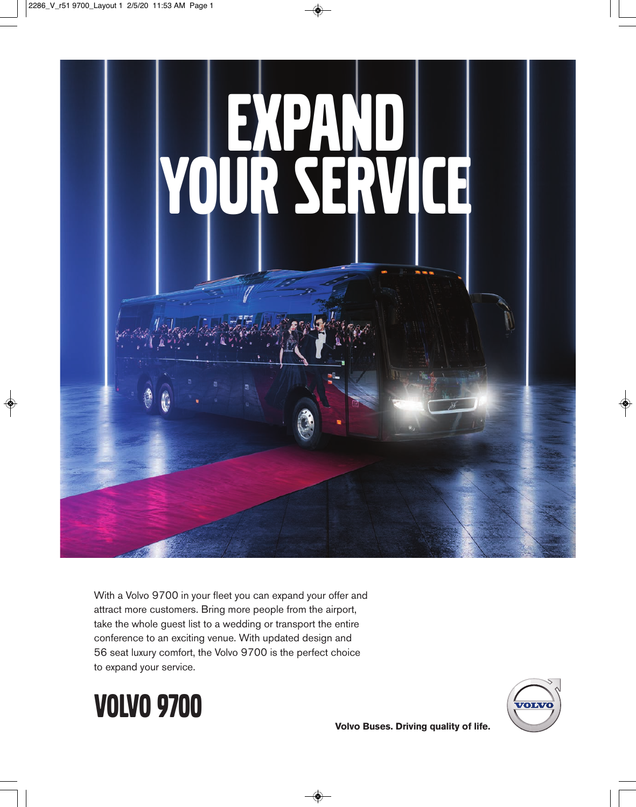

With a Volvo 9700 in your fleet you can expand your offer and attract more customers. Bring more people from the airport, take the whole guest list to a wedding or transport the entire conference to an exciting venue. With updated design and 56 seat luxury comfort, the Volvo 9700 is the perfect choice to expand your service.





**Volvo Buses. Driving quality of life.**